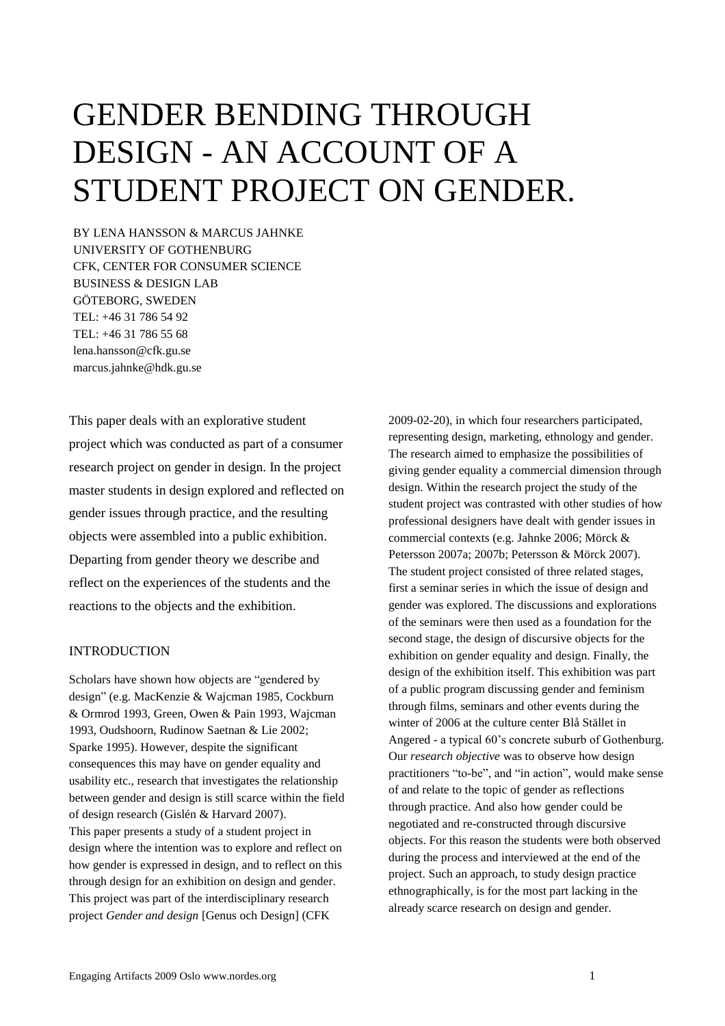# GENDER BENDING THROUGH DESIGN - AN ACCOUNT OF A STUDENT PROJECT ON GENDER.

BY LENA HANSSON & MARCUS JAHNKE UNIVERSITY OF GOTHENBURG CFK, CENTER FOR CONSUMER SCIENCE BUSINESS & DESIGN LAB GÖTEBORG, SWEDEN TEL: +46 31 786 54 92 TEL: +46 31 786 55 68 lena.hansson@cfk.gu.se marcus.jahnke@hdk.gu.se

This paper deals with an explorative student project which was conducted as part of a consumer research project on gender in design. In the project master students in design explored and reflected on gender issues through practice, and the resulting objects were assembled into a public exhibition. Departing from gender theory we describe and reflect on the experiences of the students and the reactions to the objects and the exhibition.

# INTRODUCTION

Scholars have shown how objects are "gendered by design" (e.g. MacKenzie & Wajcman 1985, Cockburn & Ormrod 1993, Green, Owen & Pain 1993, Wajcman 1993, Oudshoorn, Rudinow Saetnan & Lie 2002; Sparke 1995). However, despite the significant consequences this may have on gender equality and usability etc., research that investigates the relationship between gender and design is still scarce within the field of design research (Gislén & Harvard 2007). This paper presents a study of a student project in design where the intention was to explore and reflect on how gender is expressed in design, and to reflect on this through design for an exhibition on design and gender. This project was part of the interdisciplinary research project *Gender and design* [Genus och Design] (CFK

2009-02-20), in which four researchers participated, representing design, marketing, ethnology and gender. The research aimed to emphasize the possibilities of giving gender equality a commercial dimension through design. Within the research project the study of the student project was contrasted with other studies of how professional designers have dealt with gender issues in commercial contexts (e.g. Jahnke 2006; Mörck & Petersson 2007a; 2007b; Petersson & Mörck 2007). The student project consisted of three related stages, first a seminar series in which the issue of design and gender was explored. The discussions and explorations of the seminars were then used as a foundation for the second stage, the design of discursive objects for the exhibition on gender equality and design. Finally, the design of the exhibition itself. This exhibition was part of a public program discussing gender and feminism through films, seminars and other events during the winter of 2006 at the culture center Blå Stället in Angered - a typical 60"s concrete suburb of Gothenburg. Our *research objective* was to observe how design practitioners "to-be", and "in action", would make sense of and relate to the topic of gender as reflections through practice. And also how gender could be negotiated and re-constructed through discursive objects. For this reason the students were both observed during the process and interviewed at the end of the project. Such an approach, to study design practice ethnographically, is for the most part lacking in the already scarce research on design and gender.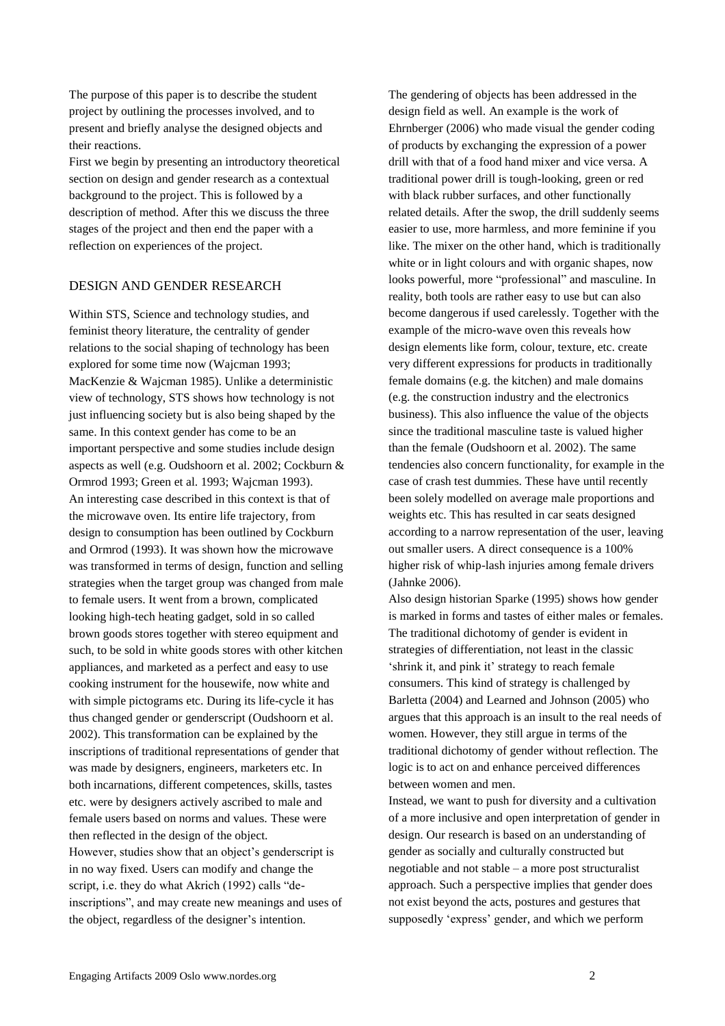The purpose of this paper is to describe the student project by outlining the processes involved, and to present and briefly analyse the designed objects and their reactions.

First we begin by presenting an introductory theoretical section on design and gender research as a contextual background to the project. This is followed by a description of method. After this we discuss the three stages of the project and then end the paper with a reflection on experiences of the project.

# DESIGN AND GENDER RESEARCH

Within STS, Science and technology studies, and feminist theory literature, the centrality of gender relations to the social shaping of technology has been explored for some time now (Wajcman 1993; MacKenzie & Wajcman 1985). Unlike a deterministic view of technology, STS shows how technology is not just influencing society but is also being shaped by the same. In this context gender has come to be an important perspective and some studies include design aspects as well (e.g. Oudshoorn et al. 2002; Cockburn & Ormrod 1993; Green et al. 1993; Wajcman 1993). An interesting case described in this context is that of the microwave oven. Its entire life trajectory, from design to consumption has been outlined by Cockburn and Ormrod (1993). It was shown how the microwave was transformed in terms of design, function and selling strategies when the target group was changed from male to female users. It went from a brown, complicated looking high-tech heating gadget, sold in so called brown goods stores together with stereo equipment and such, to be sold in white goods stores with other kitchen appliances, and marketed as a perfect and easy to use cooking instrument for the housewife, now white and with simple pictograms etc. During its life-cycle it has thus changed gender or genderscript (Oudshoorn et al. 2002). This transformation can be explained by the inscriptions of traditional representations of gender that was made by designers, engineers, marketers etc. In both incarnations, different competences, skills, tastes etc. were by designers actively ascribed to male and female users based on norms and values. These were then reflected in the design of the object. However, studies show that an object's genderscript is in no way fixed. Users can modify and change the script, i.e. they do what Akrich (1992) calls "deinscriptions", and may create new meanings and uses of the object, regardless of the designer's intention.

The gendering of objects has been addressed in the design field as well. An example is the work of Ehrnberger (2006) who made visual the gender coding of products by exchanging the expression of a power drill with that of a food hand mixer and vice versa. A traditional power drill is tough-looking, green or red with black rubber surfaces, and other functionally related details. After the swop, the drill suddenly seems easier to use, more harmless, and more feminine if you like. The mixer on the other hand, which is traditionally white or in light colours and with organic shapes, now looks powerful, more "professional" and masculine. In reality, both tools are rather easy to use but can also become dangerous if used carelessly. Together with the example of the micro-wave oven this reveals how design elements like form, colour, texture, etc. create very different expressions for products in traditionally female domains (e.g. the kitchen) and male domains (e.g. the construction industry and the electronics business). This also influence the value of the objects since the traditional masculine taste is valued higher than the female (Oudshoorn et al. 2002). The same tendencies also concern functionality, for example in the case of crash test dummies. These have until recently been solely modelled on average male proportions and weights etc. This has resulted in car seats designed according to a narrow representation of the user, leaving out smaller users. A direct consequence is a 100% higher risk of whip-lash injuries among female drivers (Jahnke 2006).

Also design historian Sparke (1995) shows how gender is marked in forms and tastes of either males or females. The traditional dichotomy of gender is evident in strategies of differentiation, not least in the classic "shrink it, and pink it" strategy to reach female consumers. This kind of strategy is challenged by Barletta (2004) and Learned and Johnson (2005) who argues that this approach is an insult to the real needs of women. However, they still argue in terms of the traditional dichotomy of gender without reflection. The logic is to act on and enhance perceived differences between women and men.

Instead, we want to push for diversity and a cultivation of a more inclusive and open interpretation of gender in design. Our research is based on an understanding of gender as socially and culturally constructed but negotiable and not stable – a more post structuralist approach. Such a perspective implies that gender does not exist beyond the acts, postures and gestures that supposedly 'express' gender, and which we perform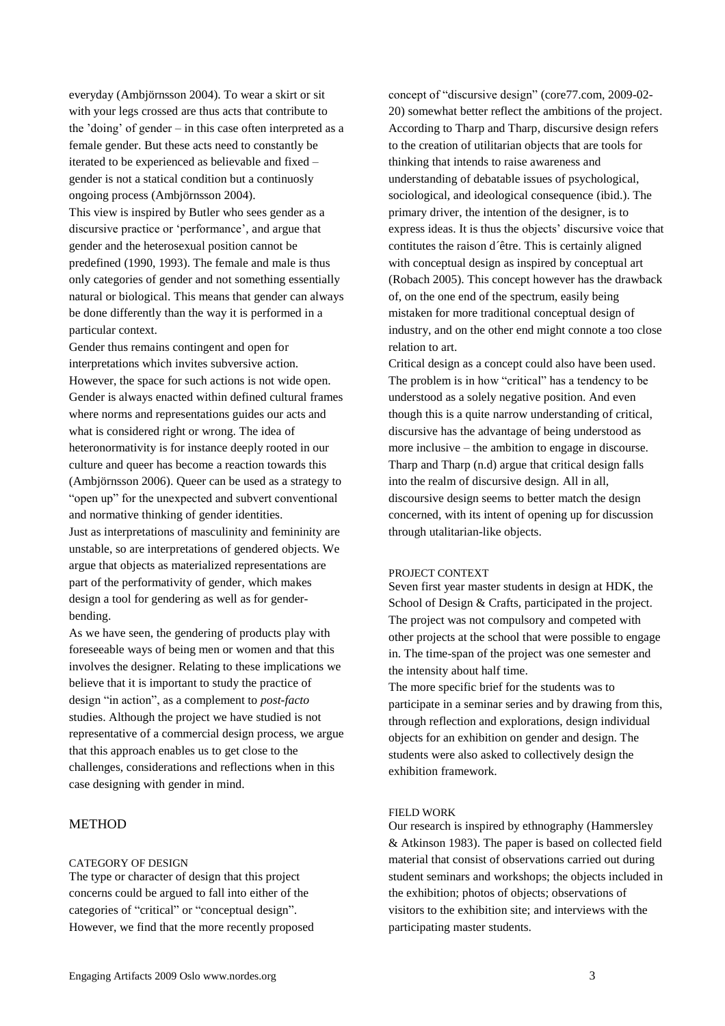everyday (Ambjörnsson 2004). To wear a skirt or sit with your legs crossed are thus acts that contribute to the "doing" of gender – in this case often interpreted as a female gender. But these acts need to constantly be iterated to be experienced as believable and fixed – gender is not a statical condition but a continuosly ongoing process (Ambjörnsson 2004).

This view is inspired by Butler who sees gender as a discursive practice or "performance", and argue that gender and the heterosexual position cannot be predefined (1990, 1993). The female and male is thus only categories of gender and not something essentially natural or biological. This means that gender can always be done differently than the way it is performed in a particular context.

Gender thus remains contingent and open for interpretations which invites subversive action. However, the space for such actions is not wide open. Gender is always enacted within defined cultural frames where norms and representations guides our acts and what is considered right or wrong. The idea of heteronormativity is for instance deeply rooted in our culture and queer has become a reaction towards this (Ambjörnsson 2006). Queer can be used as a strategy to "open up" for the unexpected and subvert conventional and normative thinking of gender identities. Just as interpretations of masculinity and femininity are unstable, so are interpretations of gendered objects. We argue that objects as materialized representations are part of the performativity of gender, which makes design a tool for gendering as well as for genderbending.

As we have seen, the gendering of products play with foreseeable ways of being men or women and that this involves the designer. Relating to these implications we believe that it is important to study the practice of design "in action", as a complement to *post-facto* studies. Although the project we have studied is not representative of a commercial design process, we argue that this approach enables us to get close to the challenges, considerations and reflections when in this case designing with gender in mind.

# METHOD

#### CATEGORY OF DESIGN

The type or character of design that this project concerns could be argued to fall into either of the categories of "critical" or "conceptual design". However, we find that the more recently proposed

concept of "discursive design" (core77.com, 2009-02- 20) somewhat better reflect the ambitions of the project. According to Tharp and Tharp, discursive design refers to the creation of utilitarian objects that are tools for thinking that intends to raise awareness and understanding of debatable issues of psychological, sociological, and ideological consequence (ibid.). The primary driver, the intention of the designer, is to express ideas. It is thus the objects' discursive voice that contitutes the raison d´être. This is certainly aligned with conceptual design as inspired by conceptual art (Robach 2005). This concept however has the drawback of, on the one end of the spectrum, easily being mistaken for more traditional conceptual design of industry, and on the other end might connote a too close relation to art.

Critical design as a concept could also have been used. The problem is in how "critical" has a tendency to be understood as a solely negative position. And even though this is a quite narrow understanding of critical, discursive has the advantage of being understood as more inclusive – the ambition to engage in discourse. Tharp and Tharp (n.d) argue that critical design falls into the realm of discursive design. All in all, discoursive design seems to better match the design concerned, with its intent of opening up for discussion through utalitarian-like objects.

#### PROJECT CONTEXT

Seven first year master students in design at HDK, the School of Design & Crafts, participated in the project. The project was not compulsory and competed with other projects at the school that were possible to engage in. The time-span of the project was one semester and the intensity about half time.

The more specific brief for the students was to participate in a seminar series and by drawing from this, through reflection and explorations, design individual objects for an exhibition on gender and design. The students were also asked to collectively design the exhibition framework.

#### FIELD WORK

Our research is inspired by ethnography (Hammersley & Atkinson 1983). The paper is based on collected field material that consist of observations carried out during student seminars and workshops; the objects included in the exhibition; photos of objects; observations of visitors to the exhibition site; and interviews with the participating master students.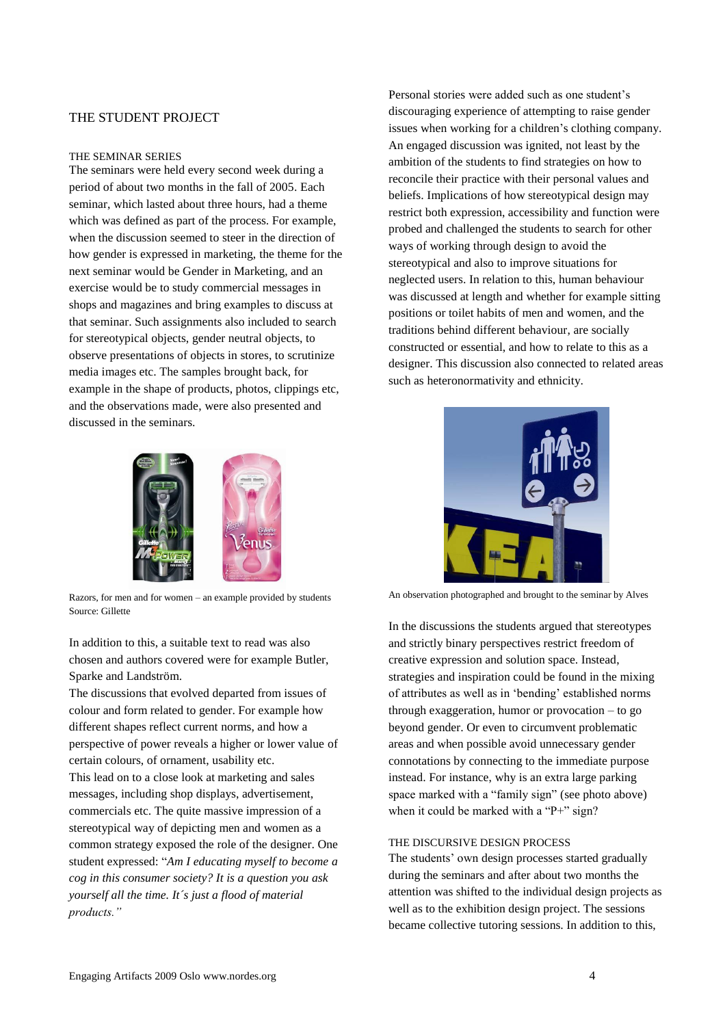# THE STUDENT PROJECT

#### THE SEMINAR SERIES

The seminars were held every second week during a period of about two months in the fall of 2005. Each seminar, which lasted about three hours, had a theme which was defined as part of the process. For example, when the discussion seemed to steer in the direction of how gender is expressed in marketing, the theme for the next seminar would be Gender in Marketing, and an exercise would be to study commercial messages in shops and magazines and bring examples to discuss at that seminar. Such assignments also included to search for stereotypical objects, gender neutral objects, to observe presentations of objects in stores, to scrutinize media images etc. The samples brought back, for example in the shape of products, photos, clippings etc, and the observations made, were also presented and discussed in the seminars.



Razors, for men and for women – an example provided by students Source: Gillette

In addition to this, a suitable text to read was also chosen and authors covered were for example Butler, Sparke and Landström.

The discussions that evolved departed from issues of colour and form related to gender. For example how different shapes reflect current norms, and how a perspective of power reveals a higher or lower value of certain colours, of ornament, usability etc.

This lead on to a close look at marketing and sales messages, including shop displays, advertisement, commercials etc. The quite massive impression of a stereotypical way of depicting men and women as a common strategy exposed the role of the designer. One student expressed: "*Am I educating myself to become a cog in this consumer society? It is a question you ask yourself all the time. It´s just a flood of material products."*

Personal stories were added such as one student"s discouraging experience of attempting to raise gender issues when working for a children"s clothing company. An engaged discussion was ignited, not least by the ambition of the students to find strategies on how to reconcile their practice with their personal values and beliefs. Implications of how stereotypical design may restrict both expression, accessibility and function were probed and challenged the students to search for other ways of working through design to avoid the stereotypical and also to improve situations for neglected users. In relation to this, human behaviour was discussed at length and whether for example sitting positions or toilet habits of men and women, and the traditions behind different behaviour, are socially constructed or essential, and how to relate to this as a designer. This discussion also connected to related areas such as heteronormativity and ethnicity.



An observation photographed and brought to the seminar by Alves

In the discussions the students argued that stereotypes and strictly binary perspectives restrict freedom of creative expression and solution space. Instead, strategies and inspiration could be found in the mixing of attributes as well as in "bending" established norms through exaggeration, humor or provocation – to go beyond gender. Or even to circumvent problematic areas and when possible avoid unnecessary gender connotations by connecting to the immediate purpose instead. For instance, why is an extra large parking space marked with a "family sign" (see photo above) when it could be marked with a "P+" sign?

#### THE DISCURSIVE DESIGN PROCESS

The students' own design processes started gradually during the seminars and after about two months the attention was shifted to the individual design projects as well as to the exhibition design project. The sessions became collective tutoring sessions. In addition to this,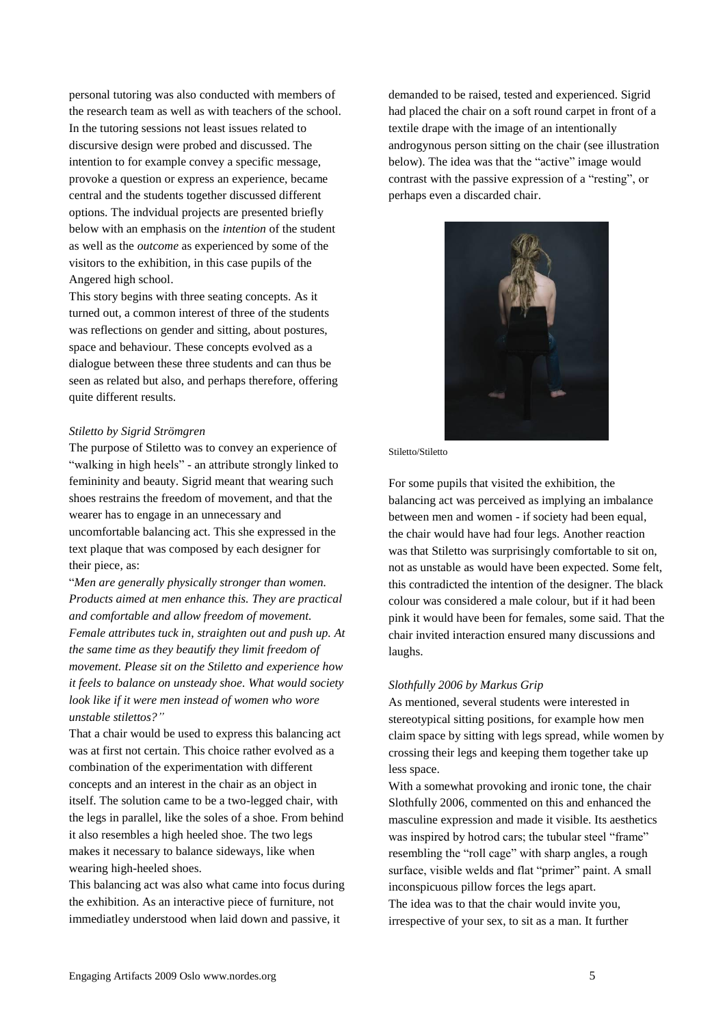personal tutoring was also conducted with members of the research team as well as with teachers of the school. In the tutoring sessions not least issues related to discursive design were probed and discussed. The intention to for example convey a specific message, provoke a question or express an experience, became central and the students together discussed different options. The indvidual projects are presented briefly below with an emphasis on the *intention* of the student as well as the *outcome* as experienced by some of the visitors to the exhibition, in this case pupils of the Angered high school.

This story begins with three seating concepts. As it turned out, a common interest of three of the students was reflections on gender and sitting, about postures, space and behaviour. These concepts evolved as a dialogue between these three students and can thus be seen as related but also, and perhaps therefore, offering quite different results.

#### *Stiletto by Sigrid Strömgren*

The purpose of Stiletto was to convey an experience of "walking in high heels" - an attribute strongly linked to femininity and beauty. Sigrid meant that wearing such shoes restrains the freedom of movement, and that the wearer has to engage in an unnecessary and uncomfortable balancing act. This she expressed in the text plaque that was composed by each designer for their piece, as:

"*Men are generally physically stronger than women. Products aimed at men enhance this. They are practical and comfortable and allow freedom of movement. Female attributes tuck in, straighten out and push up. At the same time as they beautify they limit freedom of movement. Please sit on the Stiletto and experience how it feels to balance on unsteady shoe. What would society look like if it were men instead of women who wore unstable stilettos?"*

That a chair would be used to express this balancing act was at first not certain. This choice rather evolved as a combination of the experimentation with different concepts and an interest in the chair as an object in itself. The solution came to be a two-legged chair, with the legs in parallel, like the soles of a shoe. From behind it also resembles a high heeled shoe. The two legs makes it necessary to balance sideways, like when wearing high-heeled shoes.

This balancing act was also what came into focus during the exhibition. As an interactive piece of furniture, not immediatley understood when laid down and passive, it

demanded to be raised, tested and experienced. Sigrid had placed the chair on a soft round carpet in front of a textile drape with the image of an intentionally androgynous person sitting on the chair (see illustration below). The idea was that the "active" image would contrast with the passive expression of a "resting", or perhaps even a discarded chair.



#### Stiletto/Stiletto

For some pupils that visited the exhibition, the balancing act was perceived as implying an imbalance between men and women - if society had been equal, the chair would have had four legs. Another reaction was that Stiletto was surprisingly comfortable to sit on, not as unstable as would have been expected. Some felt, this contradicted the intention of the designer. The black colour was considered a male colour, but if it had been pink it would have been for females, some said. That the chair invited interaction ensured many discussions and laughs.

### *Slothfully 2006 by Markus Grip*

As mentioned, several students were interested in stereotypical sitting positions, for example how men claim space by sitting with legs spread, while women by crossing their legs and keeping them together take up less space.

With a somewhat provoking and ironic tone, the chair Slothfully 2006, commented on this and enhanced the masculine expression and made it visible. Its aesthetics was inspired by hotrod cars; the tubular steel "frame" resembling the "roll cage" with sharp angles, a rough surface, visible welds and flat "primer" paint. A small inconspicuous pillow forces the legs apart.

The idea was to that the chair would invite you, irrespective of your sex, to sit as a man. It further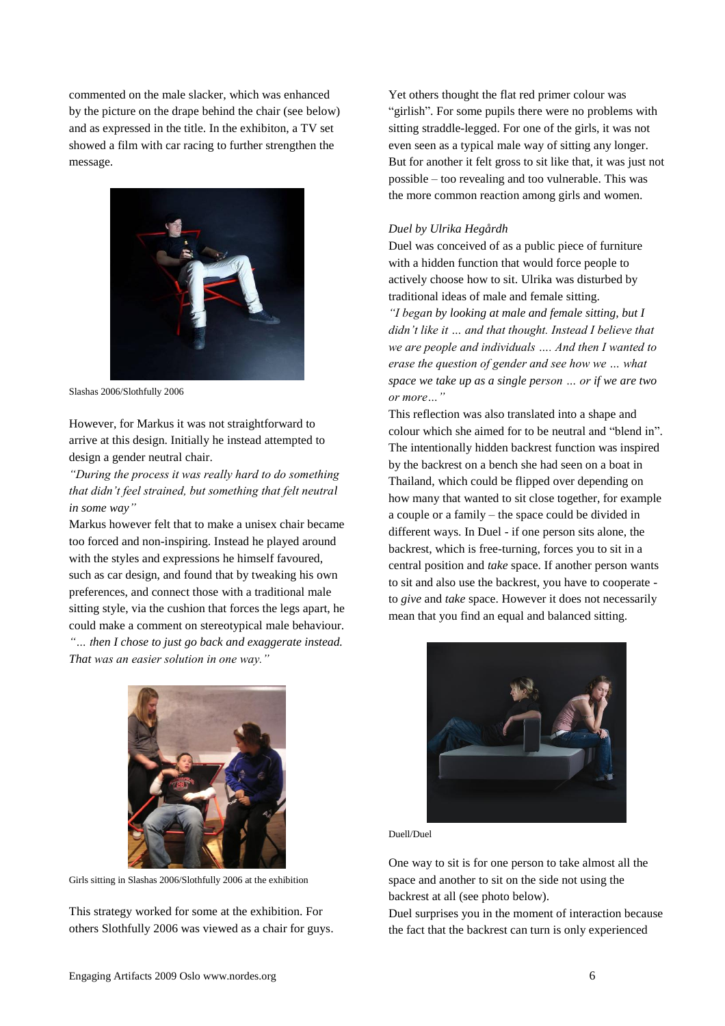commented on the male slacker, which was enhanced by the picture on the drape behind the chair (see below) and as expressed in the title. In the exhibiton, a TV set showed a film with car racing to further strengthen the message.



Slashas 2006/Slothfully 2006

However, for Markus it was not straightforward to arrive at this design. Initially he instead attempted to design a gender neutral chair.

*"During the process it was really hard to do something that didn't feel strained, but something that felt neutral in some way"*

Markus however felt that to make a unisex chair became too forced and non-inspiring. Instead he played around with the styles and expressions he himself favoured, such as car design, and found that by tweaking his own preferences, and connect those with a traditional male sitting style, via the cushion that forces the legs apart, he could make a comment on stereotypical male behaviour. *"… then I chose to just go back and exaggerate instead. That was an easier solution in one way."*



Girls sitting in Slashas 2006/Slothfully 2006 at the exhibition

This strategy worked for some at the exhibition. For others Slothfully 2006 was viewed as a chair for guys.

Yet others thought the flat red primer colour was "girlish". For some pupils there were no problems with sitting straddle-legged. For one of the girls, it was not even seen as a typical male way of sitting any longer. But for another it felt gross to sit like that, it was just not possible – too revealing and too vulnerable. This was the more common reaction among girls and women.

#### *Duel by Ulrika Hegårdh*

Duel was conceived of as a public piece of furniture with a hidden function that would force people to actively choose how to sit. Ulrika was disturbed by traditional ideas of male and female sitting. *"I began by looking at male and female sitting, but I didn't like it … and that thought. Instead I believe that we are people and individuals …. And then I wanted to erase the question of gender and see how we … what space we take up as a single person … or if we are two or more…"*

This reflection was also translated into a shape and colour which she aimed for to be neutral and "blend in". The intentionally hidden backrest function was inspired by the backrest on a bench she had seen on a boat in Thailand, which could be flipped over depending on how many that wanted to sit close together, for example a couple or a family – the space could be divided in different ways. In Duel - if one person sits alone, the backrest, which is free-turning, forces you to sit in a central position and *take* space. If another person wants to sit and also use the backrest, you have to cooperate to *give* and *take* space. However it does not necessarily mean that you find an equal and balanced sitting.



Duell/Duel

One way to sit is for one person to take almost all the space and another to sit on the side not using the backrest at all (see photo below).

Duel surprises you in the moment of interaction because the fact that the backrest can turn is only experienced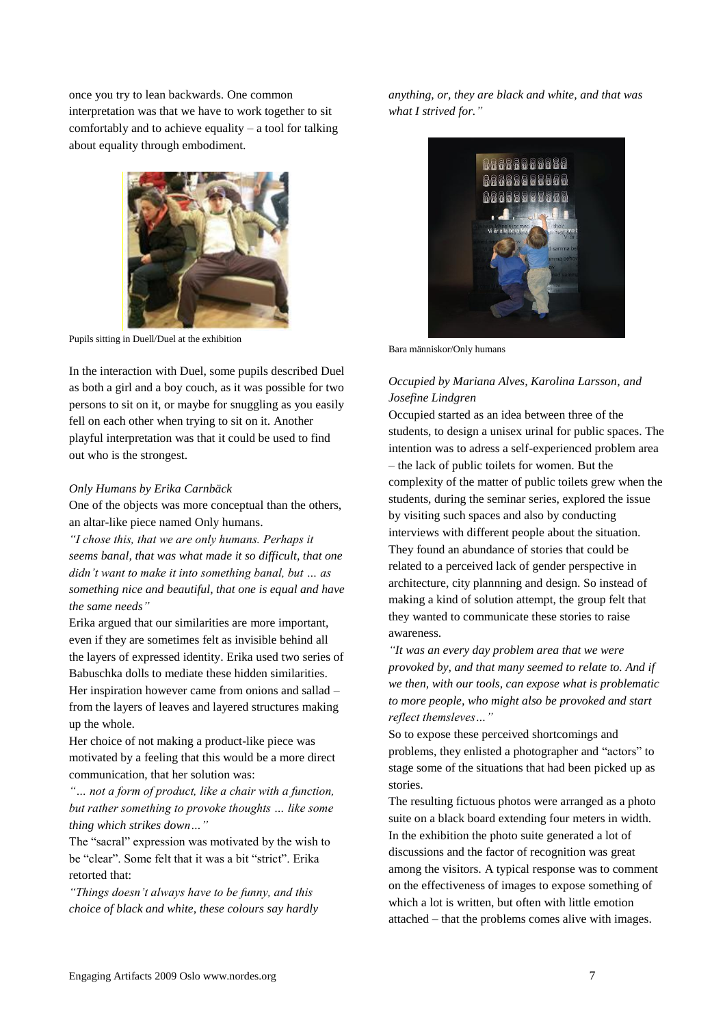once you try to lean backwards. One common interpretation was that we have to work together to sit comfortably and to achieve equality – a tool for talking about equality through embodiment.



Pupils sitting in Duell/Duel at the exhibition

In the interaction with Duel, some pupils described Duel as both a girl and a boy couch, as it was possible for two persons to sit on it, or maybe for snuggling as you easily fell on each other when trying to sit on it. Another playful interpretation was that it could be used to find out who is the strongest.

#### *Only Humans by Erika Carnbäck*

One of the objects was more conceptual than the others, an altar-like piece named Only humans.

*"I chose this, that we are only humans. Perhaps it seems banal, that was what made it so difficult, that one didn't want to make it into something banal, but … as something nice and beautiful, that one is equal and have the same needs"*

Erika argued that our similarities are more important, even if they are sometimes felt as invisible behind all the layers of expressed identity. Erika used two series of Babuschka dolls to mediate these hidden similarities. Her inspiration however came from onions and sallad – from the layers of leaves and layered structures making up the whole.

Her choice of not making a product-like piece was motivated by a feeling that this would be a more direct communication, that her solution was:

*"… not a form of product, like a chair with a function, but rather something to provoke thoughts … like some thing which strikes down…"*

The "sacral" expression was motivated by the wish to be "clear". Some felt that it was a bit "strict". Erika retorted that:

*"Things doesn't always have to be funny, and this choice of black and white, these colours say hardly*  *anything, or, they are black and white, and that was what I strived for."*



Bara människor/Only humans

# *Occupied by Mariana Alves, Karolina Larsson, and Josefine Lindgren*

Occupied started as an idea between three of the students, to design a unisex urinal for public spaces. The intention was to adress a self-experienced problem area – the lack of public toilets for women. But the complexity of the matter of public toilets grew when the students, during the seminar series, explored the issue by visiting such spaces and also by conducting interviews with different people about the situation. They found an abundance of stories that could be related to a perceived lack of gender perspective in architecture, city plannning and design. So instead of making a kind of solution attempt, the group felt that they wanted to communicate these stories to raise awareness.

*"It was an every day problem area that we were provoked by, and that many seemed to relate to. And if we then, with our tools, can expose what is problematic to more people, who might also be provoked and start reflect themsleves…"*

So to expose these perceived shortcomings and problems, they enlisted a photographer and "actors" to stage some of the situations that had been picked up as stories.

The resulting fictuous photos were arranged as a photo suite on a black board extending four meters in width. In the exhibition the photo suite generated a lot of discussions and the factor of recognition was great among the visitors. A typical response was to comment on the effectiveness of images to expose something of which a lot is written, but often with little emotion attached – that the problems comes alive with images.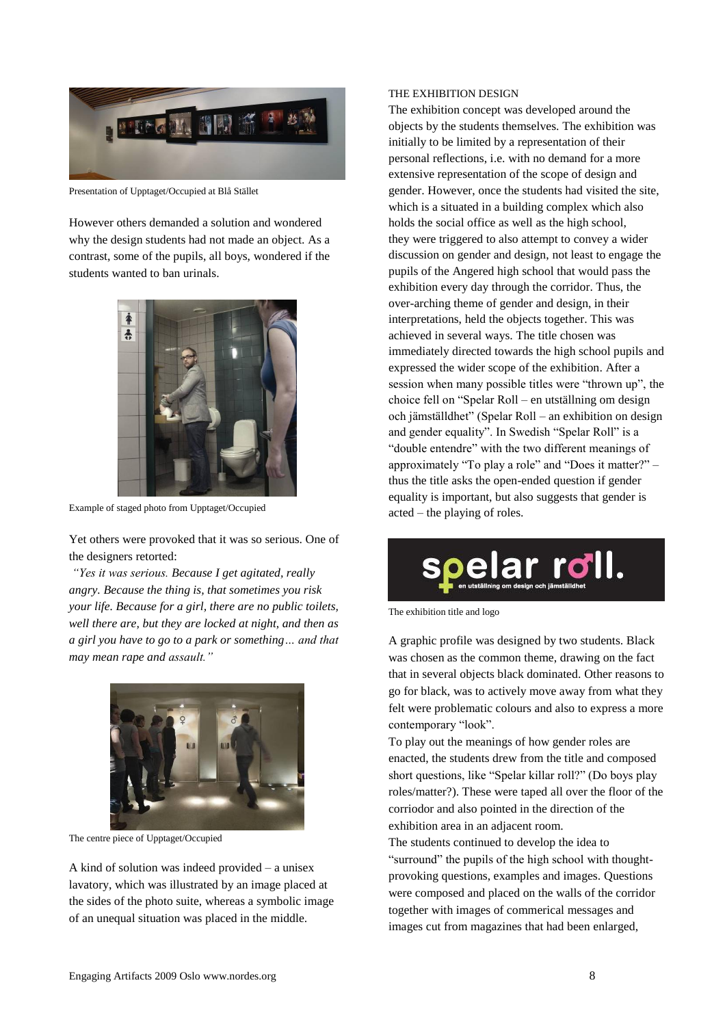

Presentation of Upptaget/Occupied at Blå Stället

However others demanded a solution and wondered why the design students had not made an object. As a contrast, some of the pupils, all boys, wondered if the students wanted to ban urinals.



Example of staged photo from Upptaget/Occupied

Yet others were provoked that it was so serious. One of the designers retorted:

*"Yes it was serious. Because I get agitated, really angry. Because the thing is, that sometimes you risk your life. Because for a girl, there are no public toilets, well there are, but they are locked at night, and then as a girl you have to go to a park or something… and that may mean rape and assault."*



The centre piece of Upptaget/Occupied

A kind of solution was indeed provided – a unisex lavatory, which was illustrated by an image placed at the sides of the photo suite, whereas a symbolic image of an unequal situation was placed in the middle.

### THE EXHIBITION DESIGN

The exhibition concept was developed around the objects by the students themselves. The exhibition was initially to be limited by a representation of their personal reflections, i.e. with no demand for a more extensive representation of the scope of design and gender. However, once the students had visited the site, which is a situated in a building complex which also holds the social office as well as the high school, they were triggered to also attempt to convey a wider discussion on gender and design, not least to engage the pupils of the Angered high school that would pass the exhibition every day through the corridor. Thus, the over-arching theme of gender and design, in their interpretations, held the objects together. This was achieved in several ways. The title chosen was immediately directed towards the high school pupils and expressed the wider scope of the exhibition. After a session when many possible titles were "thrown up", the choice fell on "Spelar Roll – en utställning om design och jämställdhet" (Spelar Roll – an exhibition on design and gender equality". In Swedish "Spelar Roll" is a "double entendre" with the two different meanings of approximately "To play a role" and "Does it matter?" – thus the title asks the open-ended question if gender equality is important, but also suggests that gender is acted – the playing of roles.



The exhibition title and logo

A graphic profile was designed by two students. Black was chosen as the common theme, drawing on the fact that in several objects black dominated. Other reasons to go for black, was to actively move away from what they felt were problematic colours and also to express a more contemporary "look".

To play out the meanings of how gender roles are enacted, the students drew from the title and composed short questions, like "Spelar killar roll?" (Do boys play roles/matter?). These were taped all over the floor of the corriodor and also pointed in the direction of the exhibition area in an adjacent room.

The students continued to develop the idea to "surround" the pupils of the high school with thoughtprovoking questions, examples and images. Questions were composed and placed on the walls of the corridor together with images of commerical messages and images cut from magazines that had been enlarged,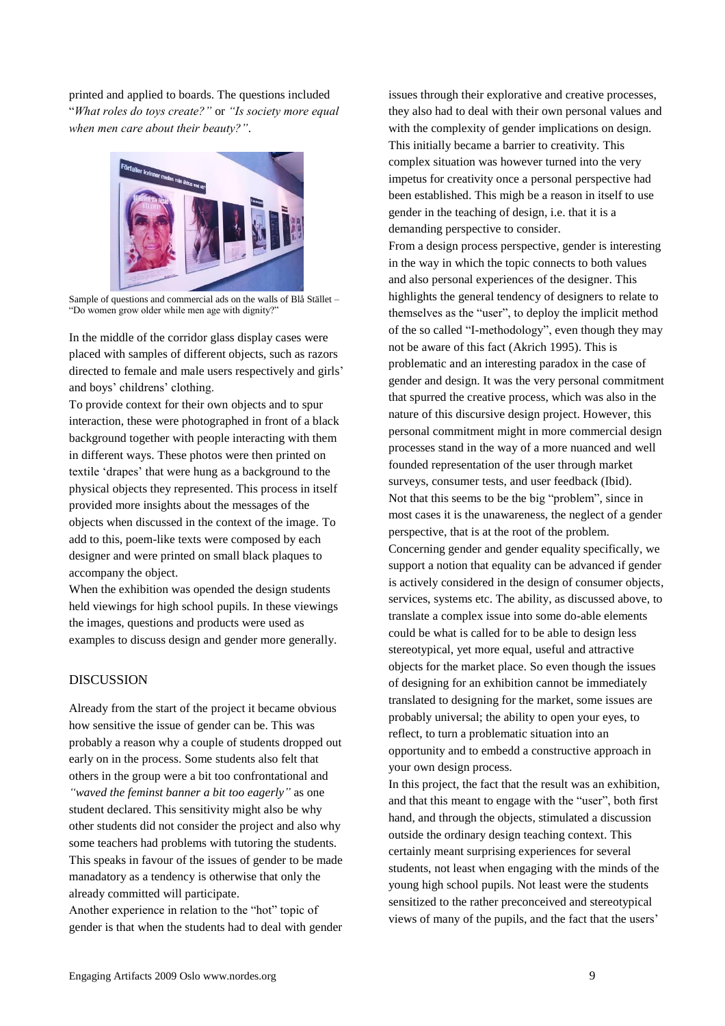printed and applied to boards. The questions included "*What roles do toys create?"* or *"Is society more equal when men care about their beauty?"*.



Sample of questions and commercial ads on the walls of Blå Stället – "Do women grow older while men age with dignity?"

In the middle of the corridor glass display cases were placed with samples of different objects, such as razors directed to female and male users respectively and girls' and boys' childrens' clothing.

To provide context for their own objects and to spur interaction, these were photographed in front of a black background together with people interacting with them in different ways. These photos were then printed on textile "drapes" that were hung as a background to the physical objects they represented. This process in itself provided more insights about the messages of the objects when discussed in the context of the image. To add to this, poem-like texts were composed by each designer and were printed on small black plaques to accompany the object.

When the exhibition was opended the design students held viewings for high school pupils. In these viewings the images, questions and products were used as examples to discuss design and gender more generally.

# DISCUSSION

Already from the start of the project it became obvious how sensitive the issue of gender can be. This was probably a reason why a couple of students dropped out early on in the process. Some students also felt that others in the group were a bit too confrontational and *"waved the feminst banner a bit too eagerly"* as one student declared. This sensitivity might also be why other students did not consider the project and also why some teachers had problems with tutoring the students. This speaks in favour of the issues of gender to be made manadatory as a tendency is otherwise that only the already committed will participate.

Another experience in relation to the "hot" topic of gender is that when the students had to deal with gender issues through their explorative and creative processes, they also had to deal with their own personal values and with the complexity of gender implications on design. This initially became a barrier to creativity. This complex situation was however turned into the very impetus for creativity once a personal perspective had been established. This migh be a reason in itself to use gender in the teaching of design, i.e. that it is a demanding perspective to consider.

From a design process perspective, gender is interesting in the way in which the topic connects to both values and also personal experiences of the designer. This highlights the general tendency of designers to relate to themselves as the "user", to deploy the implicit method of the so called "I-methodology", even though they may not be aware of this fact (Akrich 1995). This is problematic and an interesting paradox in the case of gender and design. It was the very personal commitment that spurred the creative process, which was also in the nature of this discursive design project. However, this personal commitment might in more commercial design processes stand in the way of a more nuanced and well founded representation of the user through market surveys, consumer tests, and user feedback (Ibid). Not that this seems to be the big "problem", since in most cases it is the unawareness, the neglect of a gender perspective, that is at the root of the problem. Concerning gender and gender equality specifically, we support a notion that equality can be advanced if gender is actively considered in the design of consumer objects, services, systems etc. The ability, as discussed above, to translate a complex issue into some do-able elements could be what is called for to be able to design less stereotypical, yet more equal, useful and attractive objects for the market place. So even though the issues of designing for an exhibition cannot be immediately translated to designing for the market, some issues are probably universal; the ability to open your eyes, to reflect, to turn a problematic situation into an opportunity and to embedd a constructive approach in your own design process.

In this project, the fact that the result was an exhibition, and that this meant to engage with the "user", both first hand, and through the objects, stimulated a discussion outside the ordinary design teaching context. This certainly meant surprising experiences for several students, not least when engaging with the minds of the young high school pupils. Not least were the students sensitized to the rather preconceived and stereotypical views of many of the pupils, and the fact that the users"